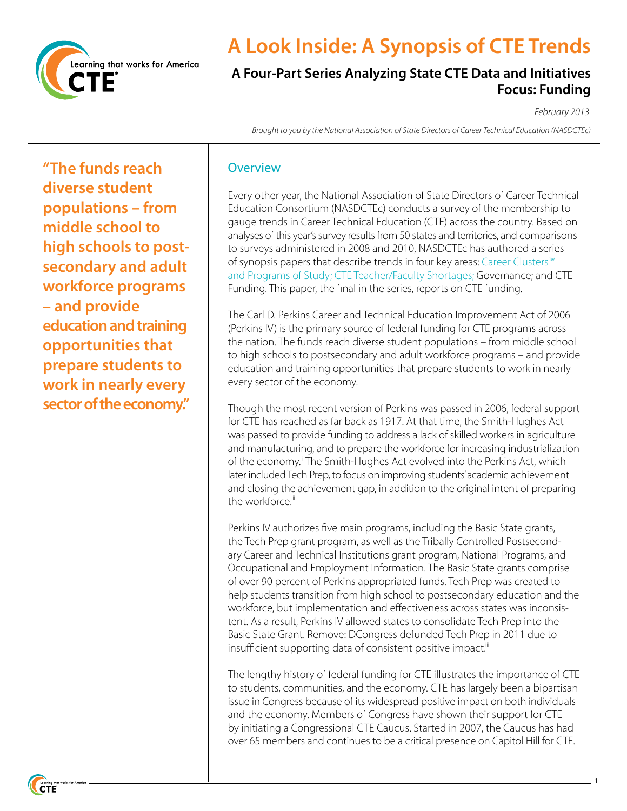

# **A Look Inside: A Synopsis of CTE Trends**

## **A Four-Part Series Analyzing State CTE Data and Initiatives Focus: Funding**

*February 2013*

1

*Brought to you by the National Association of State Directors of Career Technical Education (NASDCTEc)*

**"The funds reach diverse student populations – from middle school to high schools to postsecondary and adult workforce programs – and provide education and training opportunities that prepare students to work in nearly every sector of the economy."**

#### **Overview**

Every other year, the National Association of State Directors of Career Technical Education Consortium (NASDCTEc) conducts a survey of the membership to gauge trends in Career Technical Education (CTE) across the country. Based on analyses of this year's survey results from 50 states and territories, and comparisons to surveys administered in 2008 and 2010, NASDCTEc has authored a series of synopsis papers that describe trends in four key areas: Career Clusters™ and Programs of Study; CTE Teacher/Faculty Shortages; Governance; and CTE Funding. This paper, the final in the series, reports on CTE funding.

The Carl D. Perkins Career and Technical Education Improvement Act of 2006 (Perkins IV) is the primary source of federal funding for CTE programs across the nation. The funds reach diverse student populations – from middle school to high schools to postsecondary and adult workforce programs – and provide education and training opportunities that prepare students to work in nearly every sector of the economy.

Though the most recent version of Perkins was passed in 2006, federal support for CTE has reached as far back as 1917. At that time, the Smith-Hughes Act was passed to provide funding to address a lack of skilled workers in agriculture and manufacturing, and to prepare the workforce for increasing industrialization of the economy.<sup>1</sup> The Smith-Hughes Act evolved into the Perkins Act, which later included Tech Prep, to focus on improving students' academic achievement and closing the achievement gap, in addition to the original intent of preparing the workforce."

Perkins IV authorizes five main programs, including the Basic State grants, the Tech Prep grant program, as well as the Tribally Controlled Postsecondary Career and Technical Institutions grant program, National Programs, and Occupational and Employment Information. The Basic State grants comprise of over 90 percent of Perkins appropriated funds. Tech Prep was created to help students transition from high school to postsecondary education and the workforce, but implementation and effectiveness across states was inconsistent. As a result, Perkins IV allowed states to consolidate Tech Prep into the Basic State Grant. Remove: DCongress defunded Tech Prep in 2011 due to insufficient supporting data of consistent positive impact.<sup>"</sup>

The lengthy history of federal funding for CTE illustrates the importance of CTE to students, communities, and the economy. CTE has largely been a bipartisan issue in Congress because of its widespread positive impact on both individuals and the economy. Members of Congress have shown their support for CTE by initiating a Congressional CTE Caucus. Started in 2007, the Caucus has had over 65 members and continues to be a critical presence on Capitol Hill for CTE.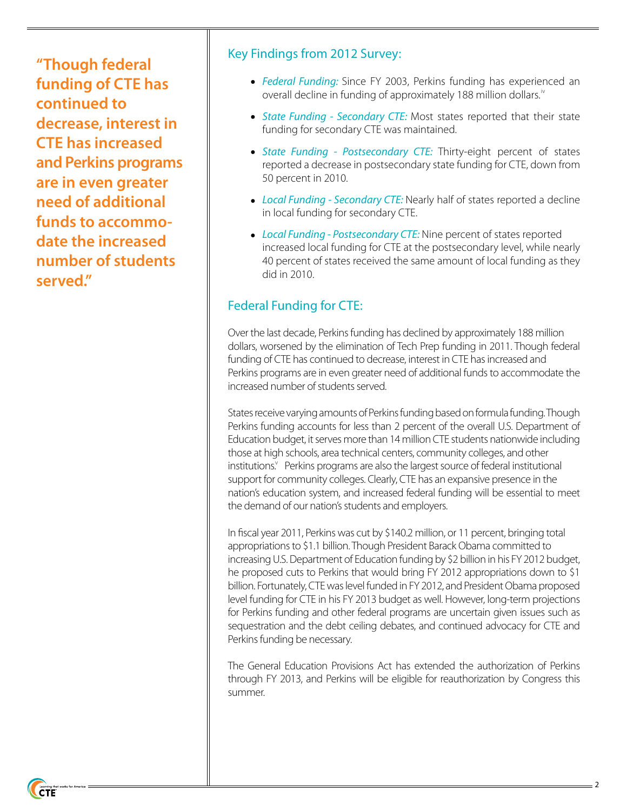**"Though federal funding of CTE has continued to decrease, interest in CTE has increased and Perkins programs are in even greater need of additional funds to accommodate the increased number of students served."**

#### Key Findings from 2012 Survey:

- *Federal Funding:* Since FY 2003, Perkins funding has experienced an overall decline in funding of approximately 188 million dollars.<sup>iv</sup>
- *State Funding Secondary CTE:* Most states reported that their state funding for secondary CTE was maintained.
- *State Funding Postsecondary CTE:* Thirty-eight percent of states reported a decrease in postsecondary state funding for CTE, down from 50 percent in 2010.
- *Local Funding Secondary CTE:* Nearly half of states reported a decline in local funding for secondary CTE.
- *Local Funding Postsecondary CTE:* Nine percent of states reported increased local funding for CTE at the postsecondary level, while nearly 40 percent of states received the same amount of local funding as they did in 2010.

## Federal Funding for CTE:

Over the last decade, Perkins funding has declined by approximately 188 million dollars, worsened by the elimination of Tech Prep funding in 2011. Though federal funding of CTE has continued to decrease, interest in CTE has increased and Perkins programs are in even greater need of additional funds to accommodate the increased number of students served.

States receive varying amounts of Perkins funding based on formula funding. Though Perkins funding accounts for less than 2 percent of the overall U.S. Department of Education budget, it serves more than 14 million CTE students nationwide including those at high schools, area technical centers, community colleges, and other institutions. Perkins programs are also the largest source of federal institutional support for community colleges. Clearly, CTE has an expansive presence in the nation's education system, and increased federal funding will be essential to meet the demand of our nation's students and employers.

In fiscal year 2011, Perkins was cut by \$140.2 million, or 11 percent, bringing total appropriations to \$1.1 billion. Though President Barack Obama committed to increasing U.S. Department of Education funding by \$2 billion in his FY 2012 budget, he proposed cuts to Perkins that would bring FY 2012 appropriations down to \$1 billion. Fortunately, CTE was level funded in FY 2012, and President Obama proposed level funding for CTE in his FY 2013 budget as well. However, long-term projections for Perkins funding and other federal programs are uncertain given issues such as sequestration and the debt ceiling debates, and continued advocacy for CTE and Perkins funding be necessary.

The General Education Provisions Act has extended the authorization of Perkins through FY 2013, and Perkins will be eligible for reauthorization by Congress this summer.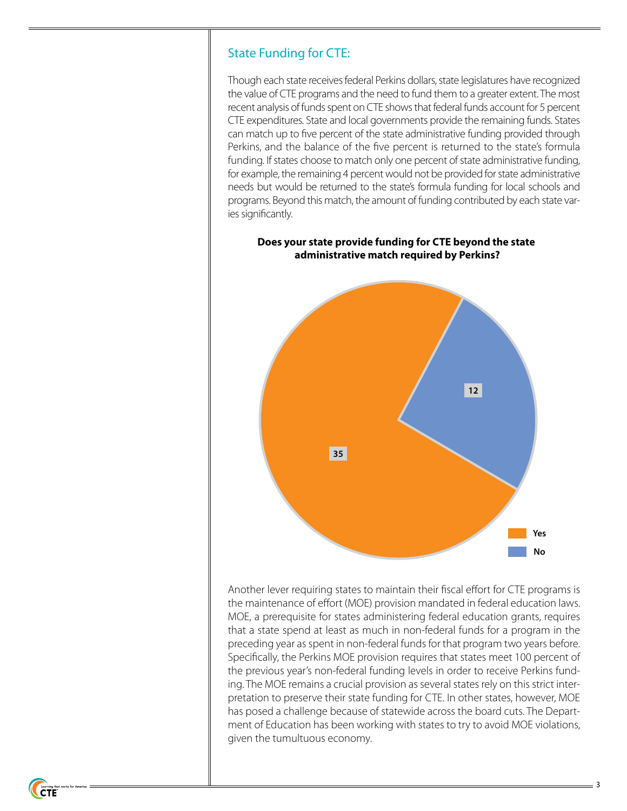#### State Funding for CTE:

Though each state receives federal Perkins dollars, state legislatures have recognized the value of CTE programs and the need to fund them to a greater extent. The most recent analysis of funds spent on CTE shows that federal funds account for 5 percent CTE expenditures. State and local governments provide the remaining funds. States can match up to five percent of the state administrative funding provided through Perkins, and the balance of the five percent is returned to the state's formula funding. If states choose to match only one percent of state administrative funding, for example, the remaining 4 percent would not be provided for state administrative needs but would be returned to the state's formula funding for local schools and programs. Beyond this match, the amount of funding contributed by each state varies significantly.



#### **Does your state provide funding for CTE beyond the state administrative match required by Perkins?**

Another lever requiring states to maintain their fiscal effort for CTE programs is the maintenance of effort (MOE) provision mandated in federal education laws. MOE, a prerequisite for states administering federal education grants, requires that a state spend at least as much in non-federal funds for a program in the preceding year as spent in non-federal funds for that program two years before. Specifically, the Perkins MOE provision requires that states meet 100 percent of the previous year's non-federal funding levels in order to receive Perkins funding. The MOE remains a crucial provision as several states rely on this strict interpretation to preserve their state funding for CTE. In other states, however, MOE has posed a challenge because of statewide across the board cuts. The Department of Education has been working with states to try to avoid MOE violations, given the tumultuous economy.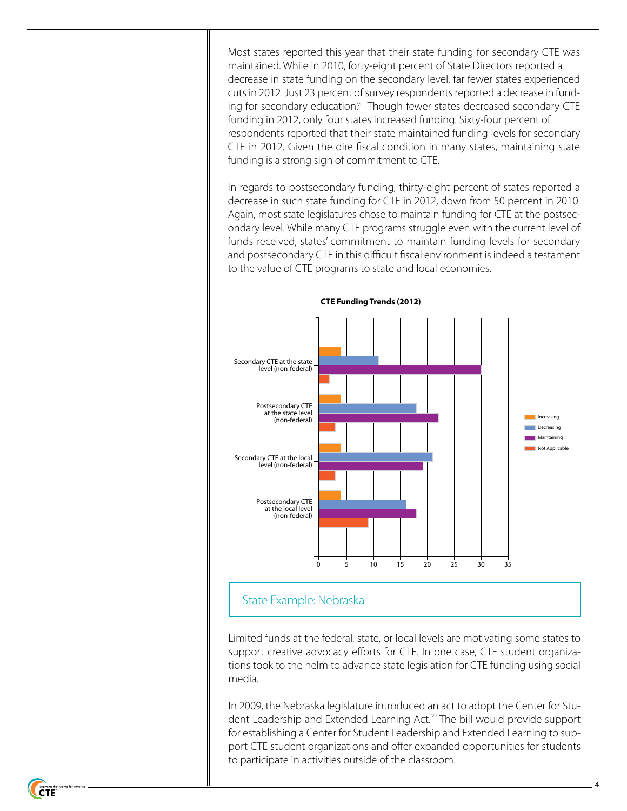Most states reported this year that their state funding for secondary CTE was maintained. While in 2010, forty-eight percent of State Directors reported a decrease in state funding on the secondary level, far fewer states experienced cuts in 2012. Just 23 percent of survey respondents reported a decrease in funding for secondary education.<sup>vi</sup> Though fewer states decreased secondary CTE funding in 2012, only four states increased funding. Sixty-four percent of respondents reported that their state maintained funding levels for secondary CTE in 2012. Given the dire fiscal condition in many states, maintaining state funding is a strong sign of commitment to CTE.

In regards to postsecondary funding, thirty-eight percent of states reported a decrease in such state funding for CTE in 2012, down from 50 percent in 2010. Again, most state legislatures chose to maintain funding for CTE at the postsecondary level. While many CTE programs struggle even with the current level of funds received, states' commitment to maintain funding levels for secondary and postsecondary CTE in this difficult fiscal environment is indeed a testament to the value of CTE programs to state and local economies.



**CTE Funding Trends (2012)**

## State Example: Nebraska

Limited funds at the federal, state, or local levels are motivating some states to support creative advocacy efforts for CTE. In one case, CTE student organizations took to the helm to advance state legislation for CTE funding using social media.

In 2009, the Nebraska legislature introduced an act to adopt the Center for Student Leadership and Extended Learning Act.<sup>vii</sup> The bill would provide support for establishing a Center for Student Leadership and Extended Learning to support CTE student organizations and offer expanded opportunities for students to participate in activities outside of the classroom.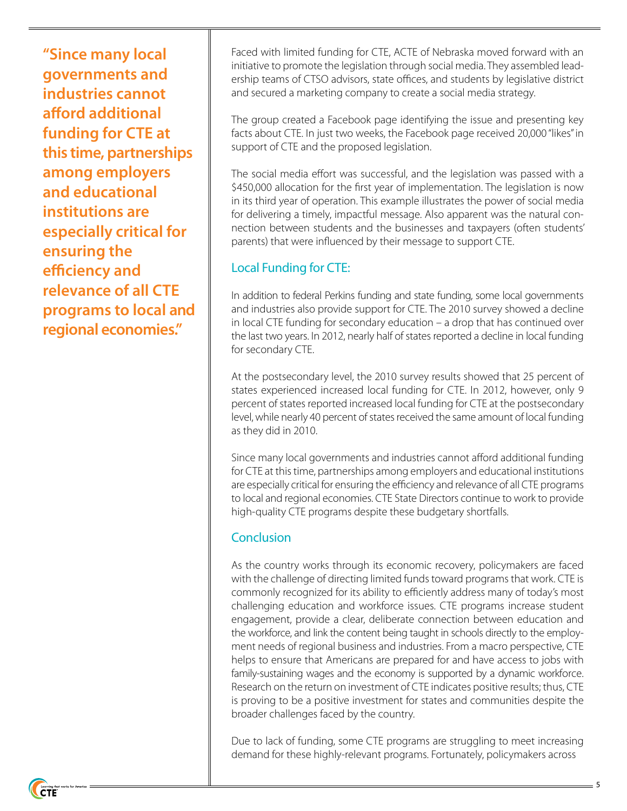**"Since many local governments and industries cannot afford additional funding for CTE at this time, partnerships among employers and educational institutions are especially critical for ensuring the efficiency and relevance of all CTE programs to local and regional economies."**

Faced with limited funding for CTE, ACTE of Nebraska moved forward with an initiative to promote the legislation through social media. They assembled leadership teams of CTSO advisors, state offices, and students by legislative district and secured a marketing company to create a social media strategy.

The group created a Facebook page identifying the issue and presenting key facts about CTE. In just two weeks, the Facebook page received 20,000 "likes" in support of CTE and the proposed legislation.

The social media effort was successful, and the legislation was passed with a \$450,000 allocation for the first year of implementation. The legislation is now in its third year of operation. This example illustrates the power of social media for delivering a timely, impactful message. Also apparent was the natural connection between students and the businesses and taxpayers (often students' parents) that were influenced by their message to support CTE.

## Local Funding for CTE:

In addition to federal Perkins funding and state funding, some local governments and industries also provide support for CTE. The 2010 survey showed a decline in local CTE funding for secondary education – a drop that has continued over the last two years. In 2012, nearly half of states reported a decline in local funding for secondary CTE.

At the postsecondary level, the 2010 survey results showed that 25 percent of states experienced increased local funding for CTE. In 2012, however, only 9 percent of states reported increased local funding for CTE at the postsecondary level, while nearly 40 percent of states received the same amount of local funding as they did in 2010.

Since many local governments and industries cannot afford additional funding for CTE at this time, partnerships among employers and educational institutions are especially critical for ensuring the efficiency and relevance of all CTE programs to local and regional economies. CTE State Directors continue to work to provide high-quality CTE programs despite these budgetary shortfalls.

### **Conclusion**

As the country works through its economic recovery, policymakers are faced with the challenge of directing limited funds toward programs that work. CTE is commonly recognized for its ability to efficiently address many of today's most challenging education and workforce issues. CTE programs increase student engagement, provide a clear, deliberate connection between education and the workforce, and link the content being taught in schools directly to the employment needs of regional business and industries. From a macro perspective, CTE helps to ensure that Americans are prepared for and have access to jobs with family-sustaining wages and the economy is supported by a dynamic workforce. Research on the return on investment of CTE indicates positive results; thus, CTE is proving to be a positive investment for states and communities despite the broader challenges faced by the country.

Due to lack of funding, some CTE programs are struggling to meet increasing demand for these highly-relevant programs. Fortunately, policymakers across